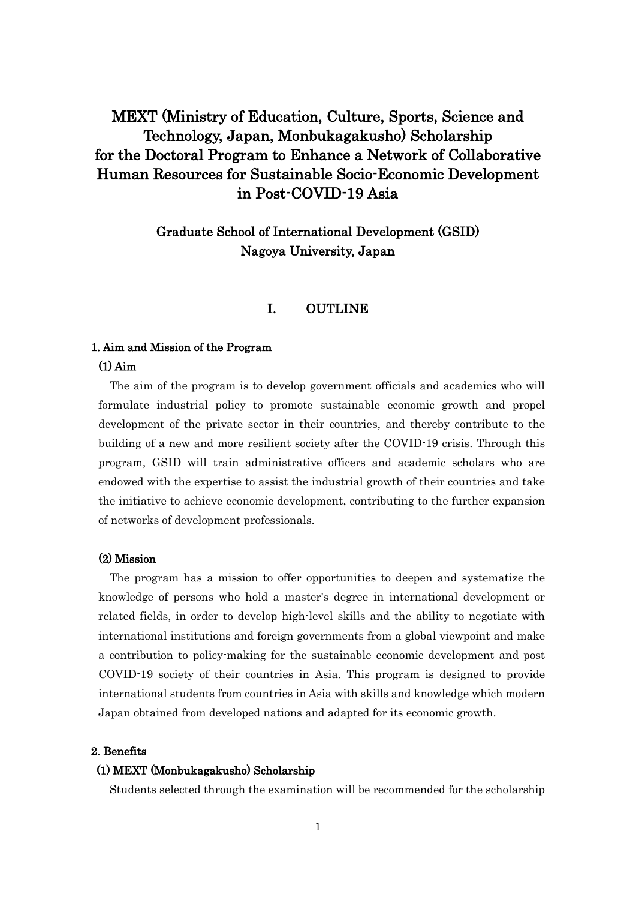# MEXT (Ministry of Education, Culture, Sports, Science and Technology, Japan, Monbukagakusho) Scholarship for the Doctoral Program to Enhance a Network of Collaborative Human Resources for Sustainable Socio-Economic Development in Post-COVID-19 Asia

# Graduate School of International Development (GSID) Nagoya University, Japan

# I. OUTLINE

### 1. Aim and Mission of the Program

### (1) Aim

The aim of the program is to develop government officials and academics who will formulate industrial policy to promote sustainable economic growth and propel development of the private sector in their countries, and thereby contribute to the building of a new and more resilient society after the COVID-19 crisis. Through this program, GSID will train administrative officers and academic scholars who are endowed with the expertise to assist the industrial growth of their countries and take the initiative to achieve economic development, contributing to the further expansion of networks of development professionals.

## (2) Mission

The program has a mission to offer opportunities to deepen and systematize the knowledge of persons who hold a master's degree in international development or related fields, in order to develop high-level skills and the ability to negotiate with international institutions and foreign governments from a global viewpoint and make a contribution to policy-making for the sustainable economic development and post COVID-19 society of their countries in Asia. This program is designed to provide international students from countries in Asia with skills and knowledge which modern Japan obtained from developed nations and adapted for its economic growth.

### 2. Benefits

### (1) MEXT (Monbukagakusho) Scholarship

Students selected through the examination will be recommended for the scholarship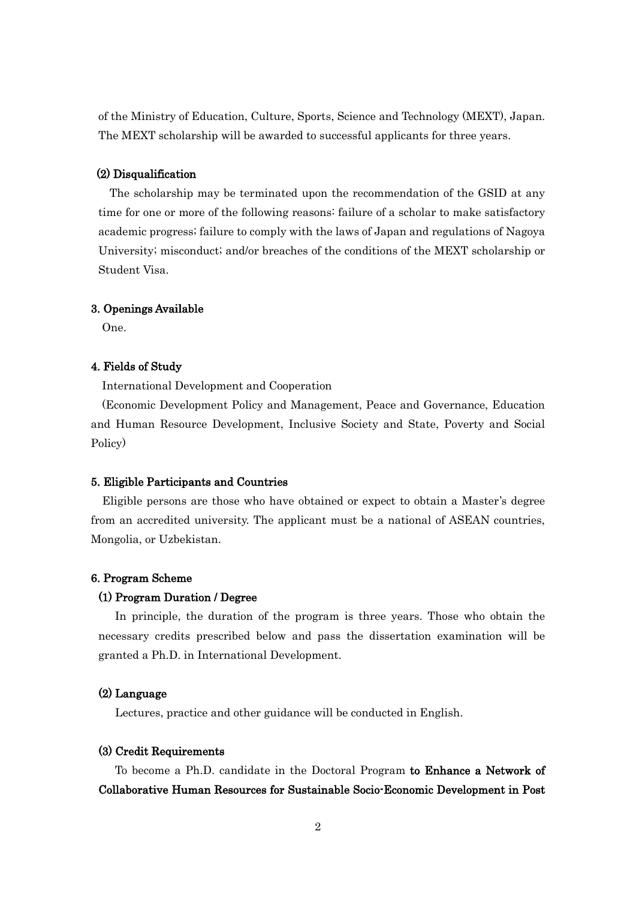of the Ministry of Education, Culture, Sports, Science and Technology (MEXT), Japan. The MEXT scholarship will be awarded to successful applicants for three years.

### (2) Disqualification

 The scholarship may be terminated upon the recommendation of the GSID at any time for one or more of the following reasons: failure of a scholar to make satisfactory academic progress; failure to comply with the laws of Japan and regulations of Nagoya University; misconduct; and/or breaches of the conditions of the MEXT scholarship or Student Visa.

### 3. Openings Available

One.

### 4. Fields of Study

International Development and Cooperation

 (Economic Development Policy and Management, Peace and Governance, Education and Human Resource Development, Inclusive Society and State, Poverty and Social Policy)

### 5. Eligible Participants and Countries

Eligible persons are those who have obtained or expect to obtain a Master's degree from an accredited university. The applicant must be a national of ASEAN countries, Mongolia, or Uzbekistan.

### 6. Program Scheme

### (1) Program Duration / Degree

In principle, the duration of the program is three years. Those who obtain the necessary credits prescribed below and pass the dissertation examination will be granted a Ph.D. in International Development.

### (2) Language

Lectures, practice and other guidance will be conducted in English.

### (3) Credit Requirements

To become a Ph.D. candidate in the Doctoral Program to Enhance a Network of Collaborative Human Resources for Sustainable Socio-Economic Development in Post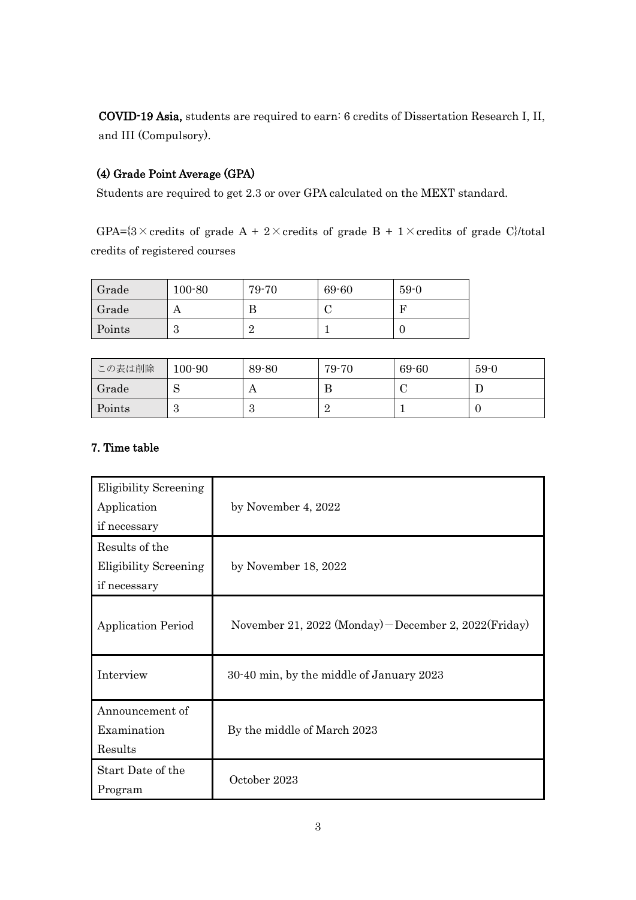COVID-19 Asia, students are required to earn: 6 credits of Dissertation Research I, II, and III (Compulsory).

# (4) Grade Point Average (GPA)

Students are required to get 2.3 or over GPA calculated on the MEXT standard.

GPA= $\{3 \times \text{credits of grade A} + 2 \times \text{credits of grade B} + 1 \times \text{credits of grade C}\}$ /total credits of registered courses

| Grade  | $100 - 80$ | 79-70 | 69-60 | $59-0$ |
|--------|------------|-------|-------|--------|
| Grade  | ◠          | В     |       | г      |
| Points | ப          | ┙     |       |        |

| この表は削除 | $100 - 90$ | 89-80  | 79-70 | 69-60 | $59-0$ |
|--------|------------|--------|-------|-------|--------|
| Grade  | ົ          | A      | н.    |       |        |
| Points | ಀ          | റ<br>ಲ |       |       | ν      |

# 7. Time table

| <b>Eligibility Screening</b><br>Application<br>if necessary    | by November 4, 2022                                    |
|----------------------------------------------------------------|--------------------------------------------------------|
| Results of the<br><b>Eligibility Screening</b><br>if necessary | by November 18, 2022                                   |
| <b>Application Period</b>                                      | November 21, 2022 (Monday) – December 2, 2022 (Friday) |
| Interview                                                      | 30-40 min, by the middle of January 2023               |
| Announcement of<br>Examination<br>Results                      | By the middle of March 2023                            |
| Start Date of the<br>Program                                   | October 2023                                           |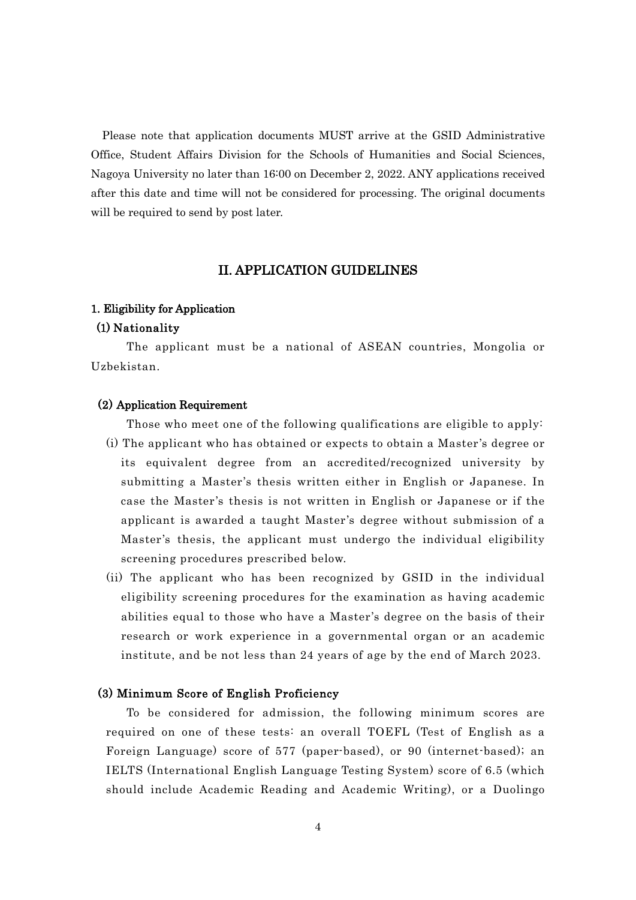Please note that application documents MUST arrive at the GSID Administrative Office, Student Affairs Division for the Schools of Humanities and Social Sciences, Nagoya University no later than 16:00 on December 2, 2022. ANY applications received after this date and time will not be considered for processing. The original documents will be required to send by post later.

# II. APPLICATION GUIDELINES

### 1. Eligibility for Application

### (1) Nationality

 The applicant must be a national of ASEAN countries, Mongolia or Uzbekistan.

### (2) Application Requirement

 Those who meet one of the following qualifications are eligible to apply: (i) The applicant who has obtained or expects to obtain a Master's degree or its equivalent degree from an accredited/recognized university by submitting a Master's thesis written either in English or Japanese. In case the Master's thesis is not written in English or Japanese or if the applicant is awarded a taught Master's degree without submission of a Master's thesis, the applicant must undergo the individual eligibility screening procedures prescribed below.

(ii) The applicant who has been recognized by GSID in the individual eligibility screening procedures for the examination as having academic abilities equal to those who have a Master's degree on the basis of their research or work experience in a governmental organ or an academic institute, and be not less than 24 years of age by the end of March 2023.

### (3) Minimum Score of English Proficiency

 To be considered for admission, the following minimum scores are required on one of these tests: an overall TOEFL (Test of English as a Foreign Language) score of 577 (paper-based), or 90 (internet-based); an IELTS (International English Language Testing System) score of 6.5 (which should include Academic Reading and Academic Writing), or a Duolingo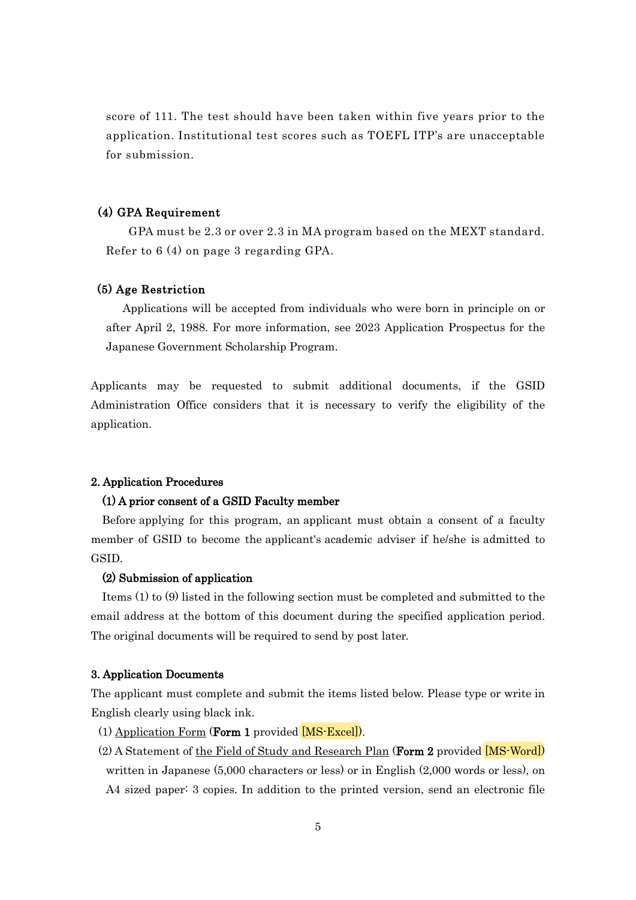score of 111. The test should have been taken within five years prior to the application. Institutional test scores such as TOEFL ITP's are unacceptable for submission.

## (4) GPA Requirement

GPA must be 2.3 or over 2.3 in MA program based on the MEXT standard. Refer to 6 (4) on page 3 regarding GPA.

# (5) Age Restriction

 Applications will be accepted from individuals who were born in principle on or after April 2, 1988. For more information, see 2023 Application Prospectus for the Japanese Government Scholarship Program.

Applicants may be requested to submit additional documents, if the GSID Administration Office considers that it is necessary to verify the eligibility of the application.

### 2. Application Procedures

### (1) A prior consent of a GSID Faculty member

 Before applying for this program, an applicant must obtain a consent of a faculty member of GSID to become the applicant's academic adviser if he/she is admitted to GSID.

### (2) Submission of application

Items (1) to (9) listed in the following section must be completed and submitted to the email address at the bottom of this document during the specified application period. The original documents will be required to send by post later.

### 3. Application Documents

The applicant must complete and submit the items listed below. Please type or write in English clearly using black ink.

- (1) Application Form (Form 1 provided [[MS-Excel](https://www4.gsid.nagoya-u.ac.jp/_wp/wp-content/uploads/2022/06/Form-1_Application-Form.xlsx)]).
- (2) A Statement of the Field of Study and Research Plan (Form 2 provided [[MS-Word](https://www4.gsid.nagoya-u.ac.jp/_wp/wp-content/uploads/2022/05/Form-2_Field-of-Study-and-Research-Plan.docx)]) written in Japanese (5,000 characters or less) or in English (2,000 words or less), on A4 sized paper: 3 copies. In addition to the printed version, send an electronic file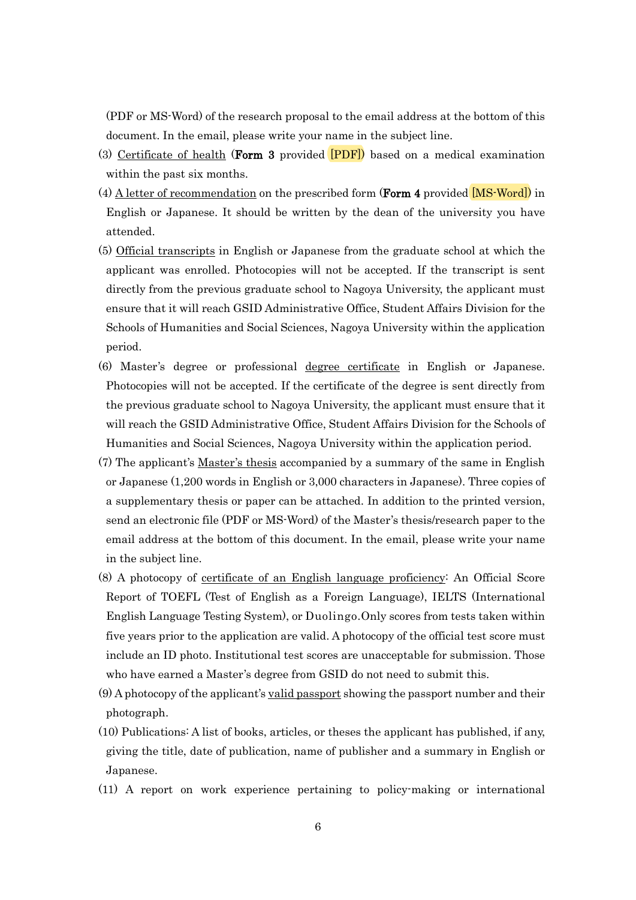(PDF or MS-Word) of the research proposal to the email address at the bottom of this document. In the email, please write your name in the subject line.

- (3) Certificate of health (Form 3 provided [[PDF\]](https://www4.gsid.nagoya-u.ac.jp/_wp/wp-content/uploads/2022/05/Form-3_Certficate-of-Health-for.pdf)) based on a medical examination within the past six months.
- (4) A letter of recommendation on the prescribed form (**Form 4** provided  $\overline{MS-Word}$ ) in English or Japanese. It should be written by the dean of the university you have attended.
- (5) Official transcripts in English or Japanese from the graduate school at which the applicant was enrolled. Photocopies will not be accepted. If the transcript is sent directly from the previous graduate school to Nagoya University, the applicant must ensure that it will reach GSID Administrative Office, Student Affairs Division for the Schools of Humanities and Social Sciences, Nagoya University within the application period.
- (6) Master's degree or professional degree certificate in English or Japanese. Photocopies will not be accepted. If the certificate of the degree is sent directly from the previous graduate school to Nagoya University, the applicant must ensure that it will reach the GSID Administrative Office, Student Affairs Division for the Schools of Humanities and Social Sciences, Nagoya University within the application period.
- (7) The applicant's Master's thesis accompanied by a summary of the same in English or Japanese (1,200 words in English or 3,000 characters in Japanese). Three copies of a supplementary thesis or paper can be attached. In addition to the printed version, send an electronic file (PDF or MS-Word) of the Master's thesis/research paper to the email address at the bottom of this document. In the email, please write your name in the subject line.
- (8) A photocopy of certificate of an English language proficiency: An Official Score Report of TOEFL (Test of English as a Foreign Language), IELTS (International English Language Testing System), or Duolingo.Only scores from tests taken within five years prior to the application are valid. A photocopy of the official test score must include an ID photo. Institutional test scores are unacceptable for submission. Those who have earned a Master's degree from GSID do not need to submit this.
- $(9)$  A photocopy of the applicant's <u>valid passport</u> showing the passport number and their photograph.
- (10) Publications: A list of books, articles, or theses the applicant has published, if any, giving the title, date of publication, name of publisher and a summary in English or Japanese.
- (11) A report on work experience pertaining to policy-making or international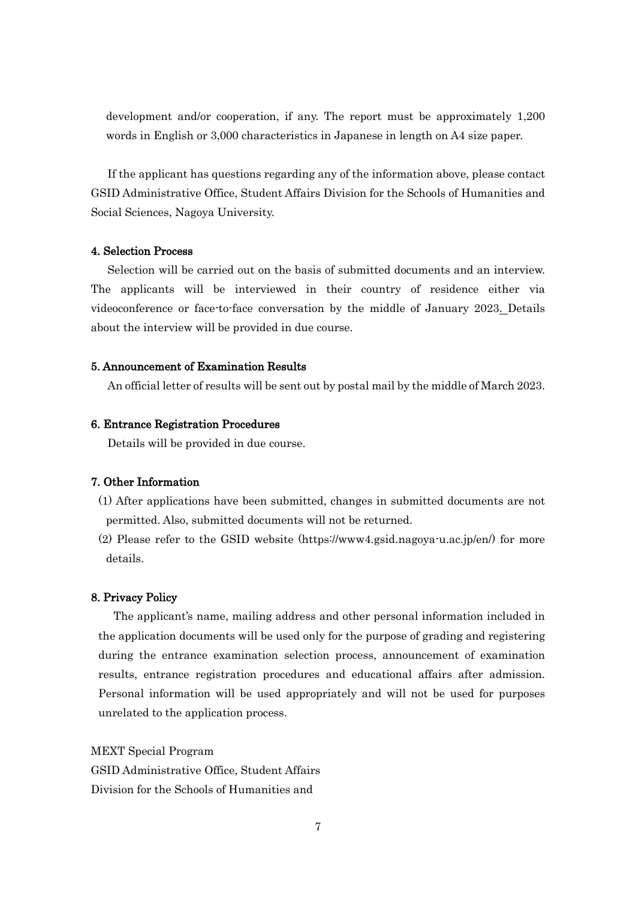development and/or cooperation, if any. The report must be approximately 1,200 words in English or 3,000 characteristics in Japanese in length on A4 size paper.

 If the applicant has questions regarding any of the information above, please contact GSID Administrative Office, Student Affairs Division for the Schools of Humanities and Social Sciences, Nagoya University.

### 4. Selection Process

 Selection will be carried out on the basis of submitted documents and an interview. The applicants will be interviewed in their country of residence either via videoconference or face-to-face conversation by the middle of January 2023. Details about the interview will be provided in due course.

### 5. Announcement of Examination Results

An official letter of results will be sent out by postal mail by the middle of March 2023.

### 6. Entrance Registration Procedures

Details will be provided in due course.

### 7. Other Information

- (1) After applications have been submitted, changes in submitted documents are not permitted. Also, submitted documents will not be returned.
- (2) Please refer to the GSID website (https://www4.gsid.nagoya-u.ac.jp/en/) for more details.

### 8. Privacy Policy

The applicant's name, mailing address and other personal information included in the application documents will be used only for the purpose of grading and registering during the entrance examination selection process, announcement of examination results, entrance registration procedures and educational affairs after admission. Personal information will be used appropriately and will not be used for purposes unrelated to the application process.

MEXT Special Program GSID Administrative Office, Student Affairs Division for the Schools of Humanities and